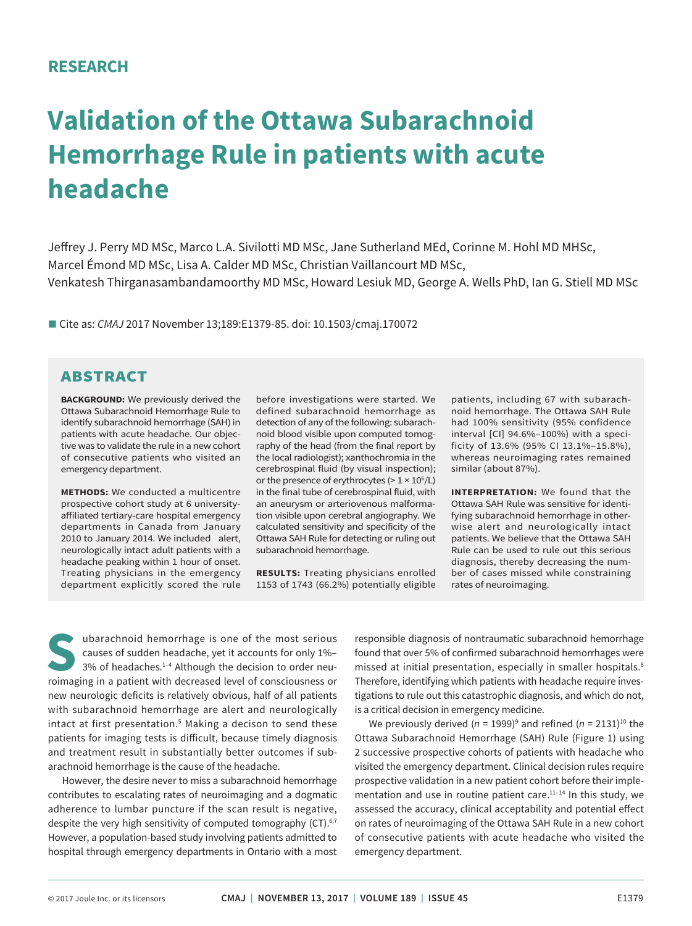# **RESEARCH**

# **Validation of the Ottawa Subarachnoid Hemorrhage Rule in patients with acute headache**

Jeffrey J. Perry MD MSc, Marco L.A. Sivilotti MD MSc, Jane Sutherland MEd, Corinne M. Hohl MD MHSc, Marcel Émond MD MSc, Lisa A. Calder MD MSc, Christian Vaillancourt MD MSc, Venkatesh Thirganasambandamoorthy MD MSc, Howard Lesiuk MD, George A. Wells PhD, Ian G. Stiell MD MSc

■ Cite as: *CMAJ* 2017 November 13;189:E1379-85. doi: 10.1503/cmaj.170072

## ABSTRACT

**BACKGROUND:** We previously derived the Ottawa Subarachnoid Hemorrhage Rule to identify subarachnoid hemorrhage (SAH) in patients with acute headache. Our objective was to validate the rule in a new cohort of consecutive patients who visited an emergency department.

**METHODS:** We conducted a multicentre prospective cohort study at 6 universityaffiliated tertiary-care hospital emergency departments in Canada from January 2010 to January 2014. We included alert, neurologically intact adult patients with a headache peaking within 1 hour of onset. Treating physicians in the emergency department explicitly scored the rule

before investigations were started. We defined subarachnoid hemorrhage as detection of any of the following: subarachnoid blood visible upon computed tomography of the head (from the final report by the local radiologist); xanthochromia in the cerebrospinal fluid (by visual inspection); or the presence of erythrocytes  $(> 1 \times 10^6/L)$ in the final tube of cerebrospinal fluid, with an aneurysm or arteriovenous malformation visible upon cerebral angiography. We calculated sensitivity and specificity of the Ottawa SAH Rule for detecting or ruling out subarachnoid hemorrhage.

**RESULTS:** Treating physicians enrolled 1153 of 1743 (66.2%) potentially eligible patients, including 67 with subarachnoid hemorrhage. The Ottawa SAH Rule had 100% sensitivity (95% confidence interval [CI] 94.6%–100%) with a specificity of 13.6% (95% CI 13.1%–15.8%), whereas neuroimaging rates remained similar (about 87%).

**INTERPRETATION:** We found that the Ottawa SAH Rule was sensitive for identifying subarachnoid hemorrhage in otherwise alert and neurologically intact patients. We believe that the Ottawa SAH Rule can be used to rule out this serious diagnosis, thereby decreasing the number of cases missed while constraining rates of neuroimaging.

ubarachnoid hemorrhage is one of the most serious<br>causes of sudden headache, yet it accounts for only 1%-<br>3% of headaches.<sup>1-4</sup> Although the decision to order neu-<br>roimaging in a patient with decreased level of consciousne causes of sudden headache, yet it accounts for only 1%– 3% of headaches.<sup>1-4</sup> Although the decision to order neuroimaging in a patient with decreased level of consciousness or new neurologic deficits is relatively obvious, half of all patients with subarachnoid hemorrhage are alert and neurologically intact at first presentation.<sup>5</sup> Making a decison to send these patients for imaging tests is difficult, because timely diagnosis and treatment result in substantially better outcomes if subarachnoid hemorrhage is the cause of the headache.

However, the desire never to miss a subarachnoid hemorrhage contributes to escalating rates of neuroimaging and a dogmatic adherence to lumbar puncture if the scan result is negative, despite the very high sensitivity of computed tomography (CT).<sup>6,7</sup> However, a population-based study involving patients admitted to hospital through emergency departments in Ontario with a most

responsible diagnosis of nontraumatic subarachnoid hemorrhage found that over 5% of confirmed subarachnoid hemorrhages were missed at initial presentation, especially in smaller hospitals.<sup>8</sup> Therefore, identifying which patients with headache require investigations to rule out this catastrophic diagnosis, and which do not, is a critical decision in emergency medicine.

We previously derived ( $n = 1999$ )<sup>9</sup> and refined ( $n = 2131$ )<sup>10</sup> the Ottawa Subarachnoid Hemorrhage (SAH) Rule (Figure 1) using 2 successive prospective cohorts of patients with headache who visited the emergency department. Clinical decision rules require prospective validation in a new patient cohort before their implementation and use in routine patient care.<sup>11-14</sup> In this study, we assessed the accuracy, clinical acceptability and potential effect on rates of neuroimaging of the Ottawa SAH Rule in a new cohort of consecutive patients with acute headache who visited the emergency department.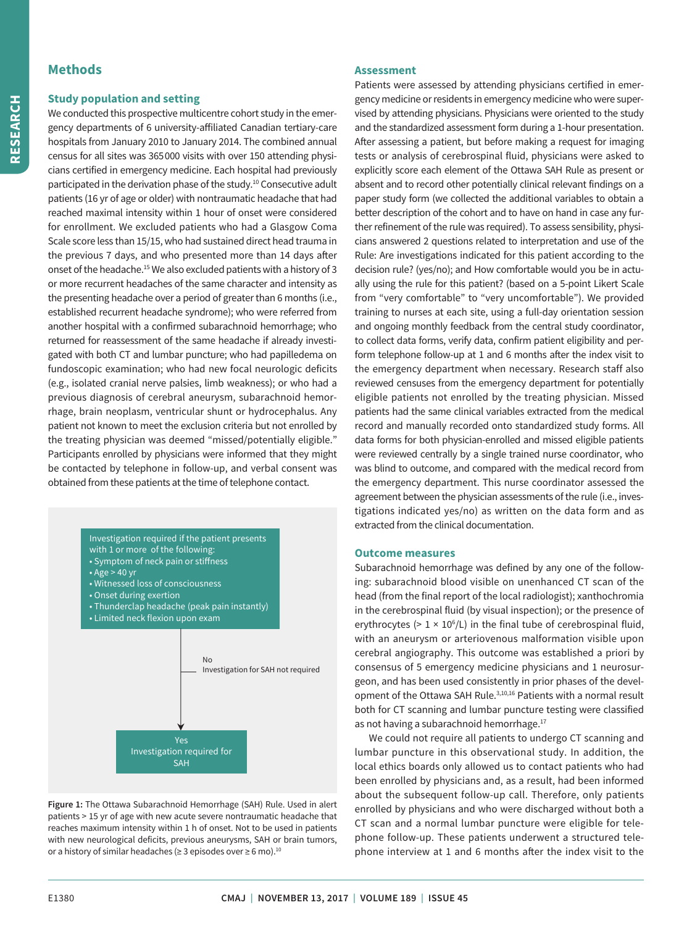## **Methods**

### **Study population and setting**

We conducted this prospective multicentre cohort study in the emergency departments of 6 university-affiliated Canadian tertiary-care hospitals from January 2010 to January 2014. The combined annual census for all sites was 365 000 visits with over 150 attending physicians certified in emergency medicine. Each hospital had previously participated in the derivation phase of the study.<sup>10</sup> Consecutive adult patients (16 yr of age or older) with nontraumatic headache that had reached maximal intensity within 1 hour of onset were considered for enrollment. We excluded patients who had a Glasgow Coma Scale score less than 15/15, who had sustained direct head trauma in the previous 7 days, and who presented more than 14 days after onset of the headache.<sup>15</sup> We also excluded patients with a history of 3 or more recurrent headaches of the same character and intensity as the presenting headache over a period of greater than 6 months (i.e., established recurrent headache syndrome); who were referred from another hospital with a confirmed subarachnoid hemorrhage; who returned for reassessment of the same headache if already investigated with both CT and lumbar puncture; who had papilledema on fundoscopic examination; who had new focal neurologic deficits (e.g., isolated cranial nerve palsies, limb weakness); or who had a previous diagnosis of cerebral aneurysm, subarachnoid hemorrhage, brain neoplasm, ventricular shunt or hydrocephalus. Any patient not known to meet the exclusion criteria but not enrolled by the treating physician was deemed "missed/potentially eligible." Participants enrolled by physicians were informed that they might be contacted by telephone in follow-up, and verbal consent was obtained from these patients at the time of telephone contact.



**Figure 1:** The Ottawa Subarachnoid Hemorrhage (SAH) Rule. Used in alert patients > 15 yr of age with new acute severe nontraumatic headache that reaches maximum intensity within 1 h of onset. Not to be used in patients with new neurological deficits, previous aneurysms, SAH or brain tumors, or a history of similar headaches (≥ 3 episodes over ≥ 6 mo).10

#### **Assessment**

Patients were assessed by attending physicians certified in emergency medicine or residents in emergency medicine who were supervised by attending physicians. Physicians were oriented to the study and the standardized assessment form during a 1-hour presentation. After assessing a patient, but before making a request for imaging tests or analysis of cerebrospinal fluid, physicians were asked to explicitly score each element of the Ottawa SAH Rule as present or absent and to record other potentially clinical relevant findings on a paper study form (we collected the additional variables to obtain a better description of the cohort and to have on hand in case any further refinement of the rule was required). To assess sensibility, physicians answered 2 questions related to interpretation and use of the Rule: Are investigations indicated for this patient according to the decision rule? (yes/no); and How comfortable would you be in actually using the rule for this patient? (based on a 5-point Likert Scale from "very comfortable" to "very uncomfortable"). We provided training to nurses at each site, using a full-day orientation session and ongoing monthly feedback from the central study coordinator, to collect data forms, verify data, confirm patient eligibility and perform telephone follow-up at 1 and 6 months after the index visit to the emergency department when necessary. Research staff also reviewed censuses from the emergency department for potentially eligible patients not enrolled by the treating physician. Missed patients had the same clinical variables extracted from the medical record and manually recorded onto standardized study forms. All data forms for both physician-enrolled and missed eligible patients were reviewed centrally by a single trained nurse coordinator, who was blind to outcome, and compared with the medical record from the emergency department. This nurse coordinator assessed the agreement between the physician assessments of the rule (i.e., investigations indicated yes/no) as written on the data form and as extracted from the clinical documentation.

#### **Outcome measures**

Subarachnoid hemorrhage was defined by any one of the following: subarachnoid blood visible on unenhanced CT scan of the head (from the final report of the local radiologist); xanthochromia in the cerebrospinal fluid (by visual inspection); or the presence of erythrocytes  $(>1 \times 10^{6}/L)$  in the final tube of cerebrospinal fluid, with an aneurysm or arteriovenous malformation visible upon cerebral angiography. This outcome was established a priori by consensus of 5 emergency medicine physicians and 1 neurosurgeon, and has been used consistently in prior phases of the development of the Ottawa SAH Rule.<sup>3,10,16</sup> Patients with a normal result both for CT scanning and lumbar puncture testing were classified as not having a subarachnoid hemorrhage.<sup>17</sup>

We could not require all patients to undergo CT scanning and lumbar puncture in this observational study. In addition, the local ethics boards only allowed us to contact patients who had been enrolled by physicians and, as a result, had been informed about the subsequent follow-up call. Therefore, only patients enrolled by physicians and who were discharged without both a CT scan and a normal lumbar puncture were eligible for telephone follow-up. These patients underwent a structured telephone interview at 1 and 6 months after the index visit to the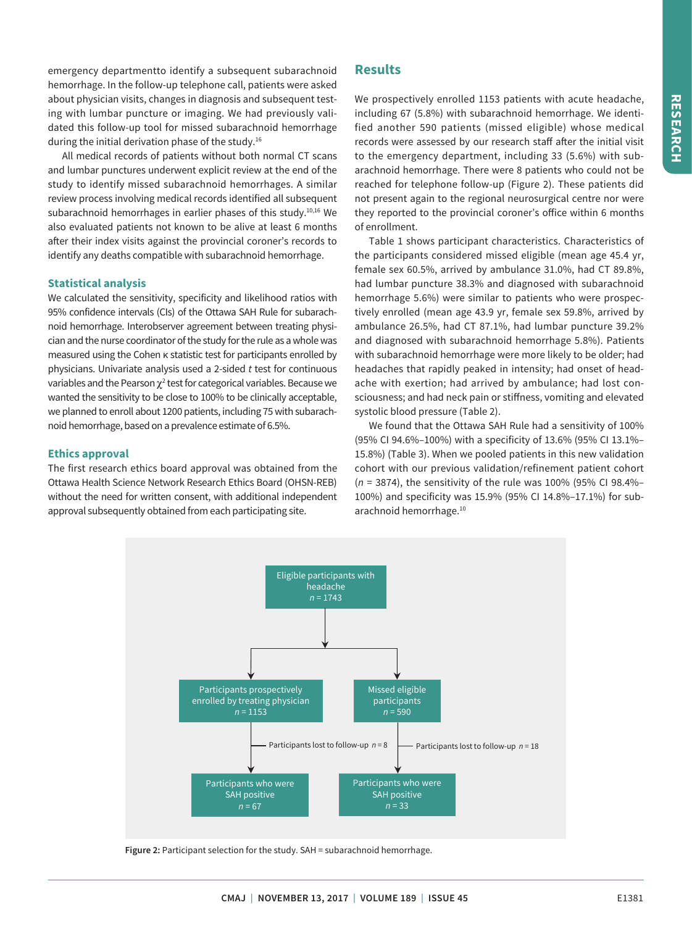emergency departmentto identify a subsequent subarachnoid hemorrhage. In the follow-up telephone call, patients were asked about physician visits, changes in diagnosis and subsequent testing with lumbar puncture or imaging. We had previously validated this follow-up tool for missed subarachnoid hemorrhage during the initial derivation phase of the study.<sup>16</sup>

All medical records of patients without both normal CT scans and lumbar punctures underwent explicit review at the end of the study to identify missed subarachnoid hemorrhages. A similar review process involving medical records identified all subsequent subarachnoid hemorrhages in earlier phases of this study.<sup>10,16</sup> We also evaluated patients not known to be alive at least 6 months after their index visits against the provincial coroner's records to identify any deaths compatible with subarachnoid hemorrhage.

#### **Statistical analysis**

We calculated the sensitivity, specificity and likelihood ratios with 95% confidence intervals (CIs) of the Ottawa SAH Rule for subarachnoid hemorrhage. Interobserver agreement between treating physician and the nurse coordinator of the study for the rule as a whole was measured using the Cohen κ statistic test for participants enrolled by physicians. Univariate analysis used a 2-sided *t* test for continuous variables and the Pearson  $\chi^2$  test for categorical variables. Because we wanted the sensitivity to be close to 100% to be clinically acceptable, we planned to enroll about 1200 patients, including 75 with subarachnoid hemorrhage, based on a prevalence estimate of 6.5%.

#### **Ethics approval**

The first research ethics board approval was obtained from the Ottawa Health Science Network Research Ethics Board (OHSN-REB) without the need for written consent, with additional independent approval subsequently obtained from each participating site.

## **Results**

We prospectively enrolled 1153 patients with acute headache, including 67 (5.8%) with subarachnoid hemorrhage. We identified another 590 patients (missed eligible) whose medical records were assessed by our research staff after the initial visit to the emergency department, including 33 (5.6%) with subarachnoid hemorrhage. There were 8 patients who could not be reached for telephone follow-up (Figure 2). These patients did not present again to the regional neurosurgical centre nor were they reported to the provincial coroner's office within 6 months of enrollment.

Table 1 shows participant characteristics. Characteristics of the participants considered missed eligible (mean age 45.4 yr, female sex 60.5%, arrived by ambulance 31.0%, had CT 89.8%, had lumbar puncture 38.3% and diagnosed with subarachnoid hemorrhage 5.6%) were similar to patients who were prospectively enrolled (mean age 43.9 yr, female sex 59.8%, arrived by ambulance 26.5%, had CT 87.1%, had lumbar puncture 39.2% and diagnosed with subarachnoid hemorrhage 5.8%). Patients with subarachnoid hemorrhage were more likely to be older; had headaches that rapidly peaked in intensity; had onset of headache with exertion; had arrived by ambulance; had lost consciousness; and had neck pain or stiffness, vomiting and elevated systolic blood pressure (Table 2).

We found that the Ottawa SAH Rule had a sensitivity of 100% (95% CI 94.6%–100%) with a specificity of 13.6% (95% CI 13.1%– 15.8%) (Table 3). When we pooled patients in this new validation cohort with our previous validation/refinement patient cohort (*n* = 3874), the sensitivity of the rule was 100% (95% CI 98.4%– 100%) and specificity was 15.9% (95% CI 14.8%–17.1%) for subarachnoid hemorrhage.10



**Figure 2:** Participant selection for the study. SAH = subarachnoid hemorrhage.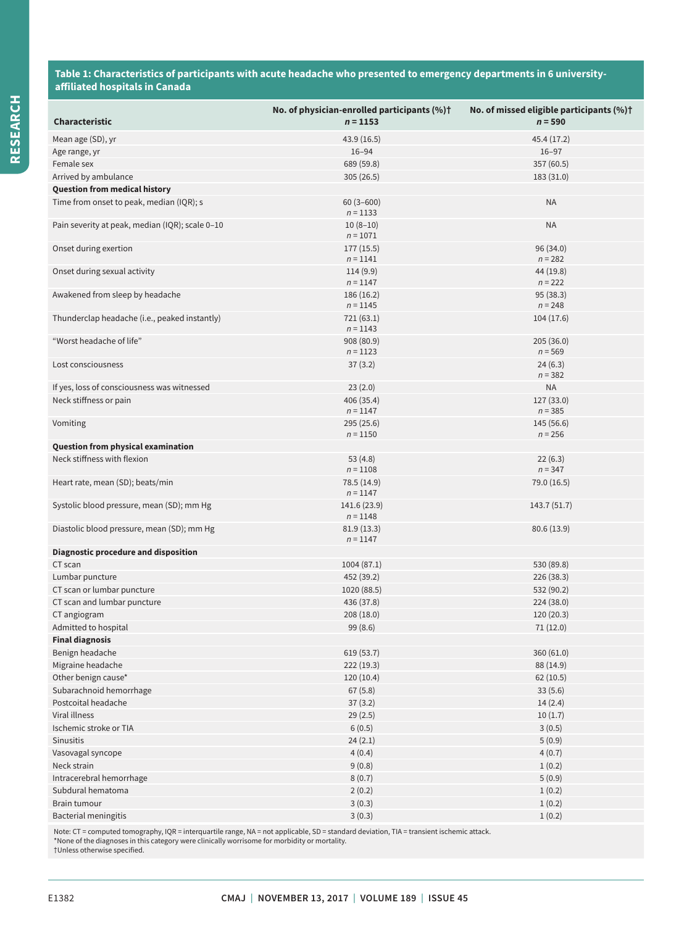#### **Table 1: Characteristics of participants with acute headache who presented to emergency departments in 6 universityaffiliated hospitals in Canada**

|                                                 | No. of physician-enrolled participants (%) <sup>+</sup> | No. of missed eligible participants (%)t |
|-------------------------------------------------|---------------------------------------------------------|------------------------------------------|
| Characteristic                                  | $n = 1153$                                              | $n = 590$                                |
| Mean age (SD), yr                               | 43.9(16.5)                                              | 45.4 (17.2)                              |
| Age range, yr                                   | $16 - 94$                                               | $16 - 97$                                |
| Female sex                                      | 689 (59.8)                                              | 357 (60.5)                               |
| Arrived by ambulance                            | 305(26.5)                                               | 183 (31.0)                               |
| <b>Question from medical history</b>            |                                                         |                                          |
| Time from onset to peak, median (IQR); s        | $60(3 - 600)$<br>$n = 1133$                             | <b>NA</b>                                |
| Pain severity at peak, median (IQR); scale 0-10 | $10(8-10)$<br>$n = 1071$                                | <b>NA</b>                                |
| Onset during exertion                           | 177 (15.5)<br>$n = 1141$                                | 96 (34.0)<br>$n = 282$                   |
| Onset during sexual activity                    | 114(9.9)<br>$n = 1147$                                  | 44 (19.8)<br>$n = 222$                   |
| Awakened from sleep by headache                 | 186 (16.2)<br>$n = 1145$                                | 95(38.3)<br>$n = 248$                    |
| Thunderclap headache (i.e., peaked instantly)   | 721 (63.1)<br>$n = 1143$                                | 104(17.6)                                |
| "Worst headache of life"                        | 908 (80.9)<br>$n = 1123$                                | 205(36.0)<br>$n = 569$                   |
| Lost consciousness                              | 37(3.2)                                                 | 24(6.3)<br>$n = 382$                     |
| If yes, loss of consciousness was witnessed     | 23(2.0)                                                 | <b>NA</b>                                |
| Neck stiffness or pain                          | 406 (35.4)<br>$n = 1147$                                | 127 (33.0)<br>$n = 385$                  |
| Vomiting                                        | 295 (25.6)<br>$n = 1150$                                | 145 (56.6)<br>$n = 256$                  |
| Question from physical examination              |                                                         |                                          |
| Neck stiffness with flexion                     | 53(4.8)                                                 | 22(6.3)                                  |
|                                                 | $n = 1108$                                              | $n = 347$                                |
| Heart rate, mean (SD); beats/min                | 78.5 (14.9)<br>$n = 1147$                               | 79.0 (16.5)                              |
| Systolic blood pressure, mean (SD); mm Hg       | 141.6 (23.9)<br>$n = 1148$                              | 143.7 (51.7)                             |
| Diastolic blood pressure, mean (SD); mm Hg      | 81.9(13.3)<br>$n = 1147$                                | 80.6(13.9)                               |
| Diagnostic procedure and disposition            |                                                         |                                          |
| CT scan                                         | 1004(87.1)                                              | 530 (89.8)                               |
| Lumbar puncture                                 | 452 (39.2)                                              | 226(38.3)                                |
| CT scan or lumbar puncture                      | 1020 (88.5)                                             | 532 (90.2)                               |
| CT scan and lumbar puncture                     | 436 (37.8)                                              | 224 (38.0)                               |
| CT angiogram                                    | 208 (18.0)                                              | 120(20.3)                                |
| Admitted to hospital                            | 99 (8.6)                                                | 71 (12.0)                                |
| <b>Final diagnosis</b>                          |                                                         |                                          |
| Benign headache                                 | 619 (53.7)                                              | 360 (61.0)                               |
| Migraine headache                               | 222 (19.3)                                              | 88 (14.9)                                |
| Other benign cause*                             | 120 (10.4)                                              | 62(10.5)                                 |
| Subarachnoid hemorrhage                         | 67(5.8)                                                 | 33(5.6)                                  |
| Postcoital headache                             | 37(3.2)                                                 | 14(2.4)                                  |
| Viral illness                                   | 29(2.5)                                                 | 10(1.7)                                  |
| Ischemic stroke or TIA                          | 6(0.5)                                                  | 3(0.5)                                   |
| Sinusitis                                       | 24(2.1)                                                 | 5(0.9)                                   |
| Vasovagal syncope                               | 4(0.4)                                                  | 4(0.7)                                   |
| Neck strain                                     | 9(0.8)                                                  | 1(0.2)                                   |
| Intracerebral hemorrhage                        | 8(0.7)                                                  | 5(0.9)                                   |
| Subdural hematoma                               | 2(0.2)                                                  | 1(0.2)                                   |
| Brain tumour                                    | 3(0.3)                                                  | 1(0.2)                                   |
| <b>Bacterial meningitis</b>                     | 3(0.3)                                                  | 1(0.2)                                   |

Note: CT = computed tomography, IQR = interquartile range, NA = not applicable, SD = standard deviation, TIA = transient ischemic attack.<br>\*None of the diagnoses in this category were clinically worrisome for morbidity or m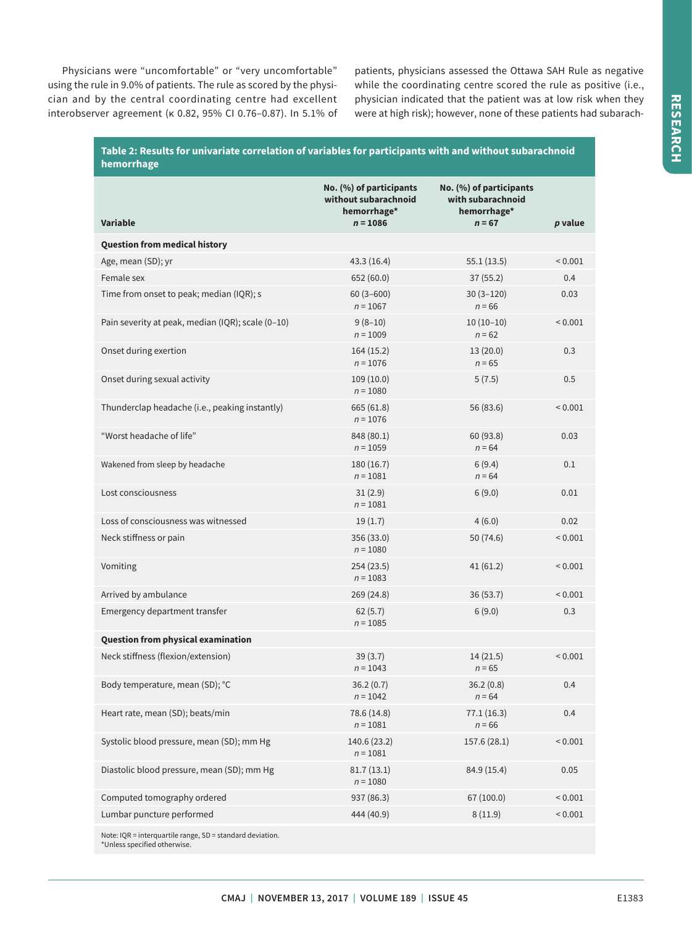Physicians were "uncomfortable" or "very uncomfortable" using the rule in 9.0% of patients. The rule as scored by the physician and by the central coordinating centre had excellent interobserver agreement (κ 0.82, 95% CI 0.76–0.87). In 5.1% of

patients, physicians assessed the Ottawa SAH Rule as negative while the coordinating centre scored the rule as positive (i.e., physician indicated that the patient was at low risk when they were at high risk); however, none of these patients had subarach-

## **Table 2: Results for univariate correlation of variables for participants with and without subarachnoid hemorrhage**

| <b>Variable</b>                                   | No. (%) of participants<br>without subarachnoid<br>hemorrhage*<br>$n = 1086$ | No. (%) of participants<br>with subarachnoid<br>hemorrhage*<br>$n = 67$ | p value      |
|---------------------------------------------------|------------------------------------------------------------------------------|-------------------------------------------------------------------------|--------------|
|                                                   |                                                                              |                                                                         |              |
| <b>Question from medical history</b>              |                                                                              |                                                                         |              |
| Age, mean (SD); yr                                | 43.3 (16.4)                                                                  | 55.1(13.5)                                                              | ${}_{0.001}$ |
| Female sex                                        | 652 (60.0)                                                                   | 37(55.2)                                                                | 0.4          |
| Time from onset to peak; median (IQR); s          | $60(3 - 600)$<br>$n = 1067$                                                  | $30(3-120)$<br>$n = 66$                                                 | 0.03         |
| Pain severity at peak, median (IQR); scale (0-10) | $9(8-10)$<br>$n = 1009$                                                      | $10(10-10)$<br>$n = 62$                                                 | < 0.001      |
| Onset during exertion                             | 164 (15.2)<br>$n = 1076$                                                     | 13(20.0)<br>$n = 65$                                                    | 0.3          |
| Onset during sexual activity                      | 109(10.0)<br>$n = 1080$                                                      | 5(7.5)                                                                  | 0.5          |
| Thunderclap headache (i.e., peaking instantly)    | 665 (61.8)<br>$n = 1076$                                                     | 56 (83.6)                                                               | ${}< 0.001$  |
| "Worst headache of life"                          | 848 (80.1)<br>$n = 1059$                                                     | 60 (93.8)<br>$n = 64$                                                   | 0.03         |
| Wakened from sleep by headache                    | 180 (16.7)<br>$n = 1081$                                                     | 6(9.4)<br>$n = 64$                                                      | 0.1          |
| Lost consciousness                                | 31(2.9)<br>$n = 1081$                                                        | 6(9.0)                                                                  | 0.01         |
| Loss of consciousness was witnessed               | 19(1.7)                                                                      | 4(6.0)                                                                  | 0.02         |
| Neck stiffness or pain                            | 356 (33.0)<br>$n = 1080$                                                     | 50 (74.6)                                                               | < 0.001      |
| Vomiting                                          | 254 (23.5)<br>$n = 1083$                                                     | 41(61.2)                                                                | ${}_{0.001}$ |
| Arrived by ambulance                              | 269 (24.8)                                                                   | 36(53.7)                                                                | ${}_{0.001}$ |
| Emergency department transfer                     | 62(5.7)<br>$n = 1085$                                                        | 6(9.0)                                                                  | 0.3          |
| Question from physical examination                |                                                                              |                                                                         |              |
| Neck stiffness (flexion/extension)                | 39(3.7)<br>$n = 1043$                                                        | 14(21.5)<br>$n = 65$                                                    | < 0.001      |
| Body temperature, mean (SD); °C                   | 36.2 (0.7)<br>$n = 1042$                                                     | 36.2 (0.8)<br>$n = 64$                                                  | 0.4          |
| Heart rate, mean (SD); beats/min                  | 78.6 (14.8)<br>$n = 1081$                                                    | 77.1(16.3)<br>$n = 66$                                                  | 0.4          |
| Systolic blood pressure, mean (SD); mm Hg         | 140.6 (23.2)<br>$n = 1081$                                                   | 157.6 (28.1)                                                            | < 0.001      |
| Diastolic blood pressure, mean (SD); mm Hg        | 81.7(13.1)<br>$n = 1080$                                                     | 84.9 (15.4)                                                             | 0.05         |
| Computed tomography ordered                       | 937 (86.3)                                                                   | 67 (100.0)                                                              | ${}_{0.001}$ |
| Lumbar puncture performed                         | 444 (40.9)                                                                   | 8(11.9)                                                                 | ${}_{0.001}$ |
|                                                   |                                                                              |                                                                         |              |

Note: IQR = interquartile range, SD = standard deviation. \*Unless specified otherwise.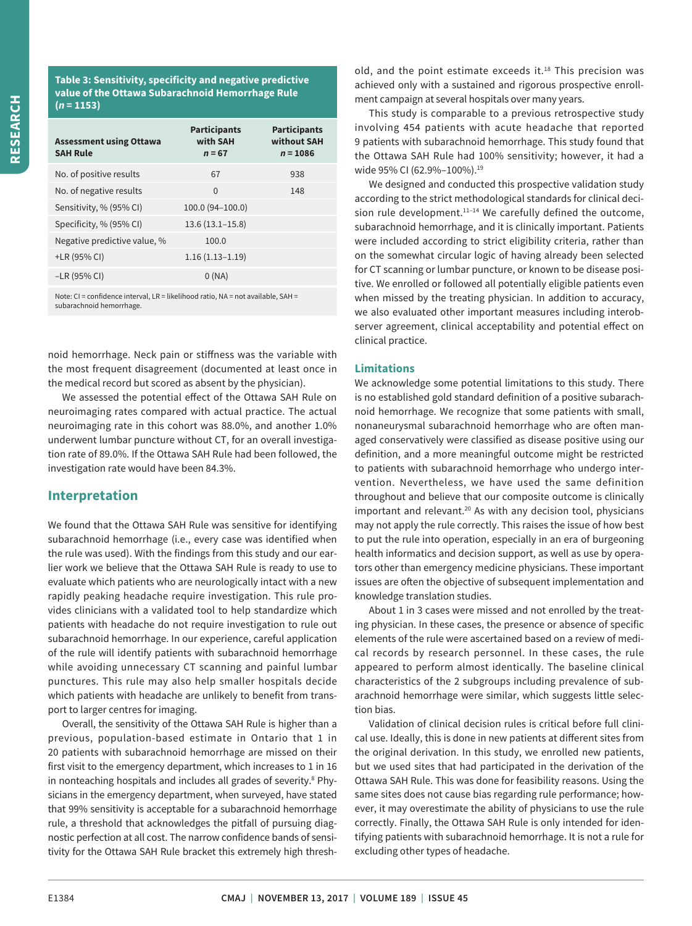**Table 3: Sensitivity, specificity and negative predictive value of the Ottawa Subarachnoid Hemorrhage Rule (***n* **= 1153)**

| <b>Assessment using Ottawa</b><br><b>SAH Rule</b> | <b>Participants</b><br>with SAH<br>$n = 67$ | <b>Participants</b><br>without SAH<br>$n = 1086$ |
|---------------------------------------------------|---------------------------------------------|--------------------------------------------------|
| No. of positive results                           | 67                                          | 938                                              |
| No. of negative results                           | $\Omega$                                    | 148                                              |
| Sensitivity, % (95% CI)                           | 100.0 (94-100.0)                            |                                                  |
| Specificity, % (95% CI)                           | $13.6(13.1 - 15.8)$                         |                                                  |
| Negative predictive value, %                      | 100.0                                       |                                                  |
| +LR (95% CI)                                      | $1.16(1.13-1.19)$                           |                                                  |
| $-LR$ (95% CI)                                    | 0(NA)                                       |                                                  |

Note: CI = confidence interval, LR = likelihood ratio, NA = not available, SAH = subarachnoid hemorrhage.

noid hemorrhage. Neck pain or stiffness was the variable with the most frequent disagreement (documented at least once in the medical record but scored as absent by the physician).

We assessed the potential effect of the Ottawa SAH Rule on neuroimaging rates compared with actual practice. The actual neuroimaging rate in this cohort was 88.0%, and another 1.0% underwent lumbar puncture without CT, for an overall investigation rate of 89.0%. If the Ottawa SAH Rule had been followed, the investigation rate would have been 84.3%.

## **Interpretation**

We found that the Ottawa SAH Rule was sensitive for identifying subarachnoid hemorrhage (i.e., every case was identified when the rule was used). With the findings from this study and our earlier work we believe that the Ottawa SAH Rule is ready to use to evaluate which patients who are neurologically intact with a new rapidly peaking headache require investigation. This rule provides clinicians with a validated tool to help standardize which patients with headache do not require investigation to rule out subarachnoid hemorrhage. In our experience, careful application of the rule will identify patients with subarachnoid hemorrhage while avoiding unnecessary CT scanning and painful lumbar punctures. This rule may also help smaller hospitals decide which patients with headache are unlikely to benefit from transport to larger centres for imaging.

Overall, the sensitivity of the Ottawa SAH Rule is higher than a previous, population-based estimate in Ontario that 1 in 20 patients with subarachnoid hemorrhage are missed on their first visit to the emergency department, which increases to 1 in 16 in nonteaching hospitals and includes all grades of severity.<sup>8</sup> Physicians in the emergency department, when surveyed, have stated that 99% sensitivity is acceptable for a subarachnoid hemorrhage rule, a threshold that acknowledges the pitfall of pursuing diagnostic perfection at all cost. The narrow confidence bands of sensitivity for the Ottawa SAH Rule bracket this extremely high threshold, and the point estimate exceeds it. $18$  This precision was achieved only with a sustained and rigorous prospective enrollment campaign at several hospitals over many years.

This study is comparable to a previous retrospective study involving 454 patients with acute headache that reported 9 patients with subarachnoid hemorrhage. This study found that the Ottawa SAH Rule had 100% sensitivity; however, it had a wide 95% CI (62.9%-100%).<sup>19</sup>

We designed and conducted this prospective validation study according to the strict methodological standards for clinical decision rule development. $11-14$  We carefully defined the outcome, subarachnoid hemorrhage, and it is clinically important. Patients were included according to strict eligibility criteria, rather than on the somewhat circular logic of having already been selected for CT scanning or lumbar puncture, or known to be disease positive. We enrolled or followed all potentially eligible patients even when missed by the treating physician. In addition to accuracy, we also evaluated other important measures including interobserver agreement, clinical acceptability and potential effect on clinical practice.

## **Limitations**

We acknowledge some potential limitations to this study. There is no established gold standard definition of a positive subarachnoid hemorrhage. We recognize that some patients with small, nonaneurysmal subarachnoid hemorrhage who are often managed conservatively were classified as disease positive using our definition, and a more meaningful outcome might be restricted to patients with subarachnoid hemorrhage who undergo intervention. Nevertheless, we have used the same definition throughout and believe that our composite outcome is clinically important and relevant.<sup>20</sup> As with any decision tool, physicians may not apply the rule correctly. This raises the issue of how best to put the rule into operation, especially in an era of burgeoning health informatics and decision support, as well as use by operators other than emergency medicine physicians. These important issues are often the objective of subsequent implementation and knowledge translation studies.

About 1 in 3 cases were missed and not enrolled by the treating physician. In these cases, the presence or absence of specific elements of the rule were ascertained based on a review of medical records by research personnel. In these cases, the rule appeared to perform almost identically. The baseline clinical characteristics of the 2 subgroups including prevalence of subarachnoid hemorrhage were similar, which suggests little selection bias.

Validation of clinical decision rules is critical before full clinical use. Ideally, this is done in new patients at different sites from the original derivation. In this study, we enrolled new patients, but we used sites that had participated in the derivation of the Ottawa SAH Rule. This was done for feasibility reasons. Using the same sites does not cause bias regarding rule performance; however, it may overestimate the ability of physicians to use the rule correctly. Finally, the Ottawa SAH Rule is only intended for identifying patients with subarachnoid hemorrhage. It is not a rule for excluding other types of headache.